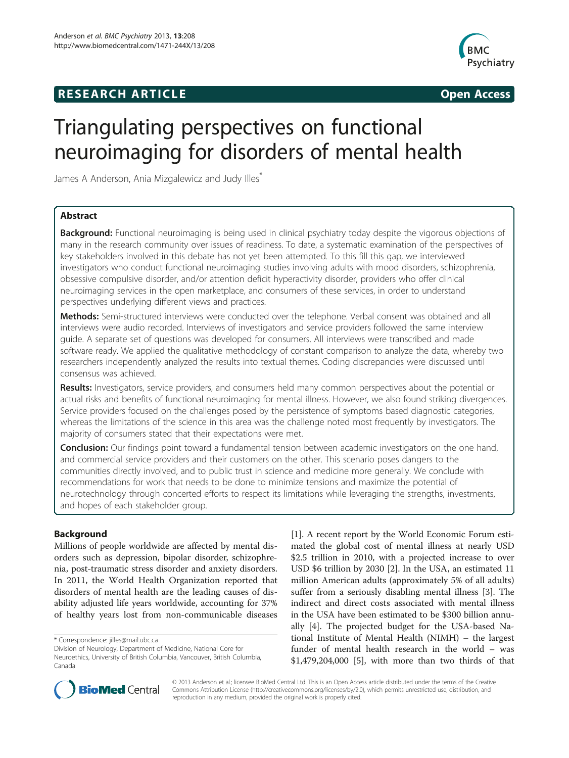## **RESEARCH ARTICLE Example 2014 CONSIDERING CONSIDERING CONSIDERING CONSIDERING CONSIDERING CONSIDERING CONSIDERING CONSIDERING CONSIDERING CONSIDERING CONSIDERING CONSIDERING CONSIDERING CONSIDERING CONSIDERING CONSIDE**



# Triangulating perspectives on functional neuroimaging for disorders of mental health

James A Anderson, Ania Mizgalewicz and Judy Illes<sup>®</sup>

## Abstract

Background: Functional neuroimaging is being used in clinical psychiatry today despite the vigorous objections of many in the research community over issues of readiness. To date, a systematic examination of the perspectives of key stakeholders involved in this debate has not yet been attempted. To this fill this gap, we interviewed investigators who conduct functional neuroimaging studies involving adults with mood disorders, schizophrenia, obsessive compulsive disorder, and/or attention deficit hyperactivity disorder, providers who offer clinical neuroimaging services in the open marketplace, and consumers of these services, in order to understand perspectives underlying different views and practices.

Methods: Semi-structured interviews were conducted over the telephone. Verbal consent was obtained and all interviews were audio recorded. Interviews of investigators and service providers followed the same interview guide. A separate set of questions was developed for consumers. All interviews were transcribed and made software ready. We applied the qualitative methodology of constant comparison to analyze the data, whereby two researchers independently analyzed the results into textual themes. Coding discrepancies were discussed until consensus was achieved.

Results: Investigators, service providers, and consumers held many common perspectives about the potential or actual risks and benefits of functional neuroimaging for mental illness. However, we also found striking divergences. Service providers focused on the challenges posed by the persistence of symptoms based diagnostic categories, whereas the limitations of the science in this area was the challenge noted most frequently by investigators. The majority of consumers stated that their expectations were met.

**Conclusion:** Our findings point toward a fundamental tension between academic investigators on the one hand, and commercial service providers and their customers on the other. This scenario poses dangers to the communities directly involved, and to public trust in science and medicine more generally. We conclude with recommendations for work that needs to be done to minimize tensions and maximize the potential of neurotechnology through concerted efforts to respect its limitations while leveraging the strengths, investments, and hopes of each stakeholder group.

## Background

Millions of people worldwide are affected by mental disorders such as depression, bipolar disorder, schizophrenia, post-traumatic stress disorder and anxiety disorders. In 2011, the World Health Organization reported that disorders of mental health are the leading causes of disability adjusted life years worldwide, accounting for 37% of healthy years lost from non-communicable diseases

[[1\]](#page-9-0). A recent report by the World Economic Forum estimated the global cost of mental illness at nearly USD \$2.5 trillion in 2010, with a projected increase to over USD \$6 trillion by 2030 [[2](#page-9-0)]. In the USA, an estimated 11 million American adults (approximately 5% of all adults) suffer from a seriously disabling mental illness [\[3](#page-9-0)]. The indirect and direct costs associated with mental illness in the USA have been estimated to be \$300 billion annually [[4\]](#page-9-0). The projected budget for the USA-based National Institute of Mental Health (NIMH) – the largest funder of mental health research in the world – was \$1,479,204,000 [\[5](#page-9-0)], with more than two thirds of that



© 2013 Anderson et al.; licensee BioMed Central Ltd. This is an Open Access article distributed under the terms of the Creative Commons Attribution License [\(http://creativecommons.org/licenses/by/2.0\)](http://creativecommons.org/licenses/by/2.0), which permits unrestricted use, distribution, and reproduction in any medium, provided the original work is properly cited.

<sup>\*</sup> Correspondence: [jilles@mail.ubc.ca](mailto:jilles@mail.ubc.ca)

Division of Neurology, Department of Medicine, National Core for Neuroethics, University of British Columbia, Vancouver, British Columbia, Canada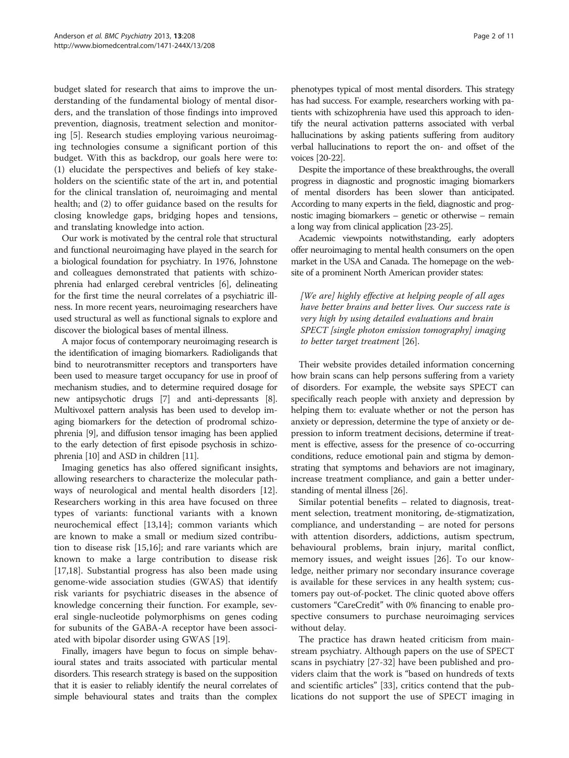budget slated for research that aims to improve the understanding of the fundamental biology of mental disorders, and the translation of those findings into improved prevention, diagnosis, treatment selection and monitoring [[5](#page-9-0)]. Research studies employing various neuroimaging technologies consume a significant portion of this budget. With this as backdrop, our goals here were to: (1) elucidate the perspectives and beliefs of key stakeholders on the scientific state of the art in, and potential for the clinical translation of, neuroimaging and mental health; and (2) to offer guidance based on the results for closing knowledge gaps, bridging hopes and tensions, and translating knowledge into action.

Our work is motivated by the central role that structural and functional neuroimaging have played in the search for a biological foundation for psychiatry. In 1976, Johnstone and colleagues demonstrated that patients with schizophrenia had enlarged cerebral ventricles [\[6\]](#page-9-0), delineating for the first time the neural correlates of a psychiatric illness. In more recent years, neuroimaging researchers have used structural as well as functional signals to explore and discover the biological bases of mental illness.

A major focus of contemporary neuroimaging research is the identification of imaging biomarkers. Radioligands that bind to neurotransmitter receptors and transporters have been used to measure target occupancy for use in proof of mechanism studies, and to determine required dosage for new antipsychotic drugs [[7](#page-9-0)] and anti-depressants [[8](#page-9-0)]. Multivoxel pattern analysis has been used to develop imaging biomarkers for the detection of prodromal schizophrenia [[9\]](#page-9-0), and diffusion tensor imaging has been applied to the early detection of first episode psychosis in schizophrenia [\[10\]](#page-9-0) and ASD in children [[11](#page-9-0)].

Imaging genetics has also offered significant insights, allowing researchers to characterize the molecular pathways of neurological and mental health disorders [\[12](#page-9-0)]. Researchers working in this area have focused on three types of variants: functional variants with a known neurochemical effect [[13,14](#page-9-0)]; common variants which are known to make a small or medium sized contribution to disease risk [[15](#page-9-0),[16](#page-9-0)]; and rare variants which are known to make a large contribution to disease risk [[17,18\]](#page-9-0). Substantial progress has also been made using genome-wide association studies (GWAS) that identify risk variants for psychiatric diseases in the absence of knowledge concerning their function. For example, several single-nucleotide polymorphisms on genes coding for subunits of the GABA-A receptor have been associated with bipolar disorder using GWAS [[19\]](#page-9-0).

Finally, imagers have begun to focus on simple behavioural states and traits associated with particular mental disorders. This research strategy is based on the supposition that it is easier to reliably identify the neural correlates of simple behavioural states and traits than the complex

phenotypes typical of most mental disorders. This strategy has had success. For example, researchers working with patients with schizophrenia have used this approach to identify the neural activation patterns associated with verbal hallucinations by asking patients suffering from auditory verbal hallucinations to report the on- and offset of the voices [\[20](#page-9-0)-[22](#page-9-0)].

Despite the importance of these breakthroughs, the overall progress in diagnostic and prognostic imaging biomarkers of mental disorders has been slower than anticipated. According to many experts in the field, diagnostic and prognostic imaging biomarkers – genetic or otherwise – remain a long way from clinical application [\[23-25](#page-9-0)].

Academic viewpoints notwithstanding, early adopters offer neuroimaging to mental health consumers on the open market in the USA and Canada. The homepage on the website of a prominent North American provider states:

[We are] highly effective at helping people of all ages have better brains and better lives. Our success rate is very high by using detailed evaluations and brain SPECT [single photon emission tomography] imaging to better target treatment [\[26\]](#page-9-0).

Their website provides detailed information concerning how brain scans can help persons suffering from a variety of disorders. For example, the website says SPECT can specifically reach people with anxiety and depression by helping them to: evaluate whether or not the person has anxiety or depression, determine the type of anxiety or depression to inform treatment decisions, determine if treatment is effective, assess for the presence of co-occurring conditions, reduce emotional pain and stigma by demonstrating that symptoms and behaviors are not imaginary, increase treatment compliance, and gain a better understanding of mental illness [[26\]](#page-9-0).

Similar potential benefits – related to diagnosis, treatment selection, treatment monitoring, de-stigmatization, compliance, and understanding – are noted for persons with attention disorders, addictions, autism spectrum, behavioural problems, brain injury, marital conflict, memory issues, and weight issues [\[26](#page-9-0)]. To our knowledge, neither primary nor secondary insurance coverage is available for these services in any health system; customers pay out-of-pocket. The clinic quoted above offers customers "CareCredit" with 0% financing to enable prospective consumers to purchase neuroimaging services without delay.

The practice has drawn heated criticism from mainstream psychiatry. Although papers on the use of SPECT scans in psychiatry [[27-32\]](#page-9-0) have been published and providers claim that the work is "based on hundreds of texts and scientific articles" [\[33](#page-9-0)], critics contend that the publications do not support the use of SPECT imaging in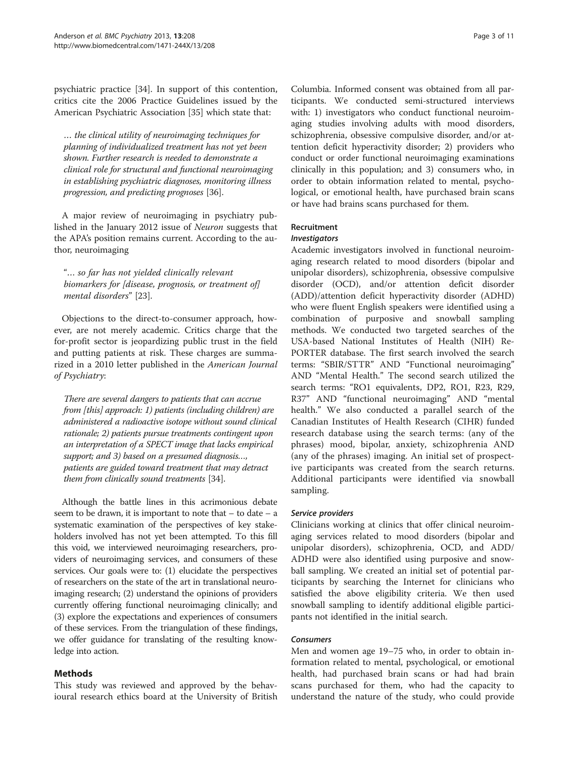psychiatric practice [[34](#page-9-0)]. In support of this contention, critics cite the 2006 Practice Guidelines issued by the American Psychiatric Association [\[35\]](#page-9-0) which state that:

… the clinical utility of neuroimaging techniques for planning of individualized treatment has not yet been shown. Further research is needed to demonstrate a clinical role for structural and functional neuroimaging in establishing psychiatric diagnoses, monitoring illness progression, and predicting prognoses [\[36\]](#page-9-0).

A major review of neuroimaging in psychiatry published in the January 2012 issue of Neuron suggests that the APA's position remains current. According to the author, neuroimaging

"… so far has not yielded clinically relevant biomarkers for [disease, prognosis, or treatment of] mental disorders" [\[23](#page-9-0)].

Objections to the direct-to-consumer approach, however, are not merely academic. Critics charge that the for-profit sector is jeopardizing public trust in the field and putting patients at risk. These charges are summarized in a 2010 letter published in the American Journal of Psychiatry:

There are several dangers to patients that can accrue from [this] approach: 1) patients (including children) are administered a radioactive isotope without sound clinical rationale; 2) patients pursue treatments contingent upon an interpretation of a SPECT image that lacks empirical support; and 3) based on a presumed diagnosis…, patients are guided toward treatment that may detract them from clinically sound treatments [\[34\]](#page-9-0).

Although the battle lines in this acrimonious debate seem to be drawn, it is important to note that  $-$  to date  $-$  a systematic examination of the perspectives of key stakeholders involved has not yet been attempted. To this fill this void, we interviewed neuroimaging researchers, providers of neuroimaging services, and consumers of these services. Our goals were to: (1) elucidate the perspectives of researchers on the state of the art in translational neuroimaging research; (2) understand the opinions of providers currently offering functional neuroimaging clinically; and (3) explore the expectations and experiences of consumers of these services. From the triangulation of these findings, we offer guidance for translating of the resulting knowledge into action.

## Methods

This study was reviewed and approved by the behavioural research ethics board at the University of British

Columbia. Informed consent was obtained from all participants. We conducted semi-structured interviews with: 1) investigators who conduct functional neuroimaging studies involving adults with mood disorders, schizophrenia, obsessive compulsive disorder, and/or attention deficit hyperactivity disorder; 2) providers who conduct or order functional neuroimaging examinations clinically in this population; and 3) consumers who, in order to obtain information related to mental, psychological, or emotional health, have purchased brain scans or have had brains scans purchased for them.

## Recruitment

### **Investigators**

Academic investigators involved in functional neuroimaging research related to mood disorders (bipolar and unipolar disorders), schizophrenia, obsessive compulsive disorder (OCD), and/or attention deficit disorder (ADD)/attention deficit hyperactivity disorder (ADHD) who were fluent English speakers were identified using a combination of purposive and snowball sampling methods. We conducted two targeted searches of the USA-based National Institutes of Health (NIH) Re-PORTER database. The first search involved the search terms: "SBIR/STTR" AND "Functional neuroimaging" AND "Mental Health." The second search utilized the search terms: "RO1 equivalents, DP2, RO1, R23, R29, R37" AND "functional neuroimaging" AND "mental health." We also conducted a parallel search of the Canadian Institutes of Health Research (CIHR) funded research database using the search terms: (any of the phrases) mood, bipolar, anxiety, schizophrenia AND (any of the phrases) imaging. An initial set of prospective participants was created from the search returns. Additional participants were identified via snowball sampling.

### Service providers

Clinicians working at clinics that offer clinical neuroimaging services related to mood disorders (bipolar and unipolar disorders), schizophrenia, OCD, and ADD/ ADHD were also identified using purposive and snowball sampling. We created an initial set of potential participants by searching the Internet for clinicians who satisfied the above eligibility criteria. We then used snowball sampling to identify additional eligible participants not identified in the initial search.

### **Consumers**

Men and women age 19–75 who, in order to obtain information related to mental, psychological, or emotional health, had purchased brain scans or had had brain scans purchased for them, who had the capacity to understand the nature of the study, who could provide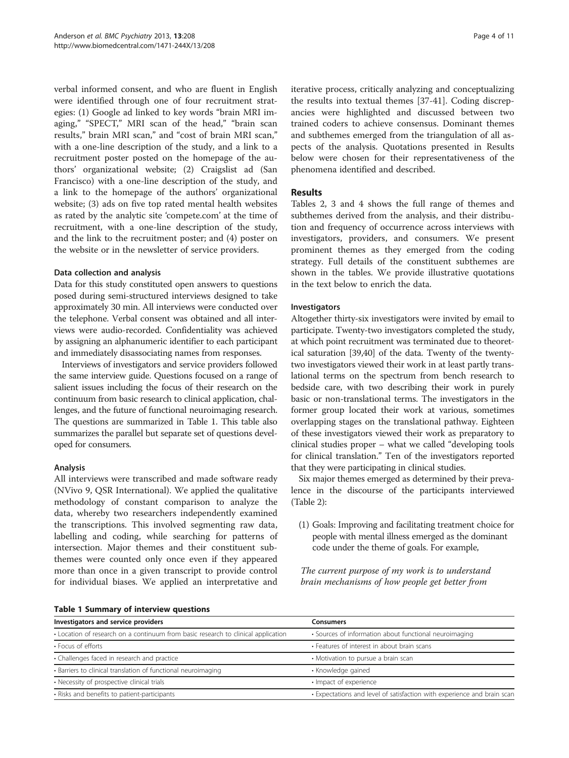verbal informed consent, and who are fluent in English were identified through one of four recruitment strategies: (1) Google ad linked to key words "brain MRI imaging," "SPECT," MRI scan of the head," "brain scan results," brain MRI scan," and "cost of brain MRI scan," with a one-line description of the study, and a link to a recruitment poster posted on the homepage of the authors' organizational website; (2) Craigslist ad (San Francisco) with a one-line description of the study, and a link to the homepage of the authors' organizational website; (3) ads on five top rated mental health websites as rated by the analytic site 'compete.com' at the time of recruitment, with a one-line description of the study, and the link to the recruitment poster; and (4) poster on the website or in the newsletter of service providers.

#### Data collection and analysis

Data for this study constituted open answers to questions posed during semi-structured interviews designed to take approximately 30 min. All interviews were conducted over the telephone. Verbal consent was obtained and all interviews were audio-recorded. Confidentiality was achieved by assigning an alphanumeric identifier to each participant and immediately disassociating names from responses.

Interviews of investigators and service providers followed the same interview guide. Questions focused on a range of salient issues including the focus of their research on the continuum from basic research to clinical application, challenges, and the future of functional neuroimaging research. The questions are summarized in Table 1. This table also summarizes the parallel but separate set of questions developed for consumers.

### Analysis

All interviews were transcribed and made software ready (NVivo 9, QSR International). We applied the qualitative methodology of constant comparison to analyze the data, whereby two researchers independently examined the transcriptions. This involved segmenting raw data, labelling and coding, while searching for patterns of intersection. Major themes and their constituent subthemes were counted only once even if they appeared more than once in a given transcript to provide control for individual biases. We applied an interpretative and iterative process, critically analyzing and conceptualizing the results into textual themes [[37](#page-9-0)[-41](#page-10-0)]. Coding discrepancies were highlighted and discussed between two trained coders to achieve consensus. Dominant themes and subthemes emerged from the triangulation of all aspects of the analysis. Quotations presented in Results below were chosen for their representativeness of the phenomena identified and described.

### Results

Tables [2](#page-4-0), [3](#page-5-0) and [4](#page-7-0) shows the full range of themes and subthemes derived from the analysis, and their distribution and frequency of occurrence across interviews with investigators, providers, and consumers. We present prominent themes as they emerged from the coding strategy. Full details of the constituent subthemes are shown in the tables. We provide illustrative quotations in the text below to enrich the data.

#### Investigators

Altogether thirty-six investigators were invited by email to participate. Twenty-two investigators completed the study, at which point recruitment was terminated due to theoretical saturation [[39,40\]](#page-10-0) of the data. Twenty of the twentytwo investigators viewed their work in at least partly translational terms on the spectrum from bench research to bedside care, with two describing their work in purely basic or non-translational terms. The investigators in the former group located their work at various, sometimes overlapping stages on the translational pathway. Eighteen of these investigators viewed their work as preparatory to clinical studies proper – what we called "developing tools for clinical translation." Ten of the investigators reported that they were participating in clinical studies.

Six major themes emerged as determined by their prevalence in the discourse of the participants interviewed (Table [2](#page-4-0)):

(1) Goals: Improving and facilitating treatment choice for people with mental illness emerged as the dominant code under the theme of goals. For example,

The current purpose of my work is to understand brain mechanisms of how people get better from

|  |  |  |  | <b>Table 1 Summary of interview questions</b> |
|--|--|--|--|-----------------------------------------------|
|--|--|--|--|-----------------------------------------------|

| Investigators and service providers                                               | Consumers                                                               |  |
|-----------------------------------------------------------------------------------|-------------------------------------------------------------------------|--|
| • Location of research on a continuum from basic research to clinical application | • Sources of information about functional neuroimaging                  |  |
| • Focus of efforts                                                                | • Features of interest in about brain scans                             |  |
| • Challenges faced in research and practice                                       | • Motivation to pursue a brain scan                                     |  |
| • Barriers to clinical translation of functional neuroimaging                     | • Knowledge gained                                                      |  |
| • Necessity of prospective clinical trials                                        | · Impact of experience                                                  |  |
| • Risks and benefits to patient-participants                                      | • Expectations and level of satisfaction with experience and brain scan |  |
|                                                                                   |                                                                         |  |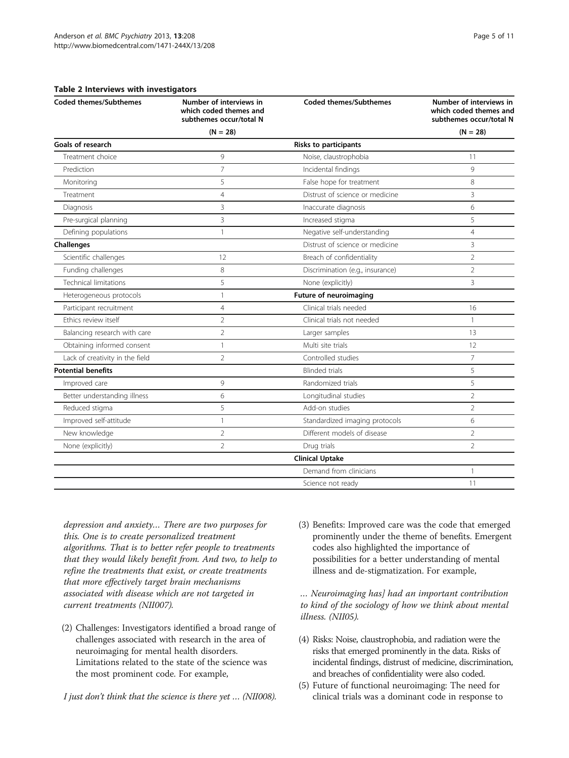#### <span id="page-4-0"></span>Table 2 Interviews with investigators

| <b>Coded themes/Subthemes</b>   | Number of interviews in<br>which coded themes and<br>subthemes occur/total N | <b>Coded themes/Subthemes</b>    | Number of interviews in<br>which coded themes and<br>subthemes occur/total N |
|---------------------------------|------------------------------------------------------------------------------|----------------------------------|------------------------------------------------------------------------------|
|                                 | $(N = 28)$                                                                   |                                  | $(N = 28)$                                                                   |
| Goals of research               |                                                                              | <b>Risks to participants</b>     |                                                                              |
| Treatment choice                | 9                                                                            | Noise, claustrophobia            | 11                                                                           |
| Prediction                      | $\overline{7}$                                                               | Incidental findings              | 9                                                                            |
| Monitoring                      | 5                                                                            | False hope for treatment         | 8                                                                            |
| Treatment                       | $\overline{4}$                                                               | Distrust of science or medicine  | 3                                                                            |
| Diagnosis                       | 3                                                                            | Inaccurate diagnosis             | 6                                                                            |
| Pre-surgical planning           | 3                                                                            | Increased stigma                 | 5                                                                            |
| Defining populations            | $\mathbf{1}$                                                                 | Negative self-understanding      | $\overline{4}$                                                               |
| <b>Challenges</b>               |                                                                              | Distrust of science or medicine  | 3                                                                            |
| Scientific challenges           | 12                                                                           | Breach of confidentiality        | $\overline{2}$                                                               |
| Funding challenges              | 8                                                                            | Discrimination (e.g., insurance) | $\overline{2}$                                                               |
| <b>Technical limitations</b>    | 5                                                                            | None (explicitly)                | 3                                                                            |
| Heterogeneous protocols         | 1                                                                            | <b>Future of neuroimaging</b>    |                                                                              |
| Participant recruitment         | $\overline{4}$                                                               | Clinical trials needed           | 16                                                                           |
| Ethics review itself            | $\overline{2}$                                                               | Clinical trials not needed       | $\mathbf{1}$                                                                 |
| Balancing research with care    | $\overline{2}$                                                               | Larger samples                   | 13                                                                           |
| Obtaining informed consent      | 1                                                                            | Multi site trials                | 12                                                                           |
| Lack of creativity in the field | $\overline{2}$                                                               | Controlled studies               | $\overline{7}$                                                               |
| <b>Potential benefits</b>       |                                                                              | <b>Blinded trials</b>            | 5                                                                            |
| Improved care                   | 9                                                                            | Randomized trials                | 5                                                                            |
| Better understanding illness    | 6                                                                            | Longitudinal studies             | $\overline{2}$                                                               |
| Reduced stigma                  | 5                                                                            | Add-on studies                   | $\overline{2}$                                                               |
| Improved self-attitude          | 1                                                                            | Standardized imaging protocols   | 6                                                                            |
| New knowledge                   | $\overline{2}$                                                               | Different models of disease      | $\overline{2}$                                                               |
| None (explicitly)               | $\overline{2}$                                                               | Drug trials                      | $\overline{2}$                                                               |
|                                 |                                                                              | <b>Clinical Uptake</b>           |                                                                              |
|                                 |                                                                              | Demand from clinicians           | $\mathbf{1}$                                                                 |
|                                 |                                                                              | Science not ready                | 11                                                                           |
|                                 |                                                                              |                                  |                                                                              |

depression and anxiety… There are two purposes for this. One is to create personalized treatment algorithms. That is to better refer people to treatments that they would likely benefit from. And two, to help to refine the treatments that exist, or create treatments that more effectively target brain mechanisms associated with disease which are not targeted in current treatments (NII007).

- (2) Challenges: Investigators identified a broad range of challenges associated with research in the area of neuroimaging for mental health disorders. Limitations related to the state of the science was the most prominent code. For example,
- I just don't think that the science is there yet … (NII008).

(3) Benefits: Improved care was the code that emerged prominently under the theme of benefits. Emergent codes also highlighted the importance of possibilities for a better understanding of mental illness and de-stigmatization. For example,

… Neuroimaging has] had an important contribution to kind of the sociology of how we think about mental illness. (NII05).

- (4) Risks: Noise, claustrophobia, and radiation were the risks that emerged prominently in the data. Risks of incidental findings, distrust of medicine, discrimination, and breaches of confidentiality were also coded.
- (5) Future of functional neuroimaging: The need for clinical trials was a dominant code in response to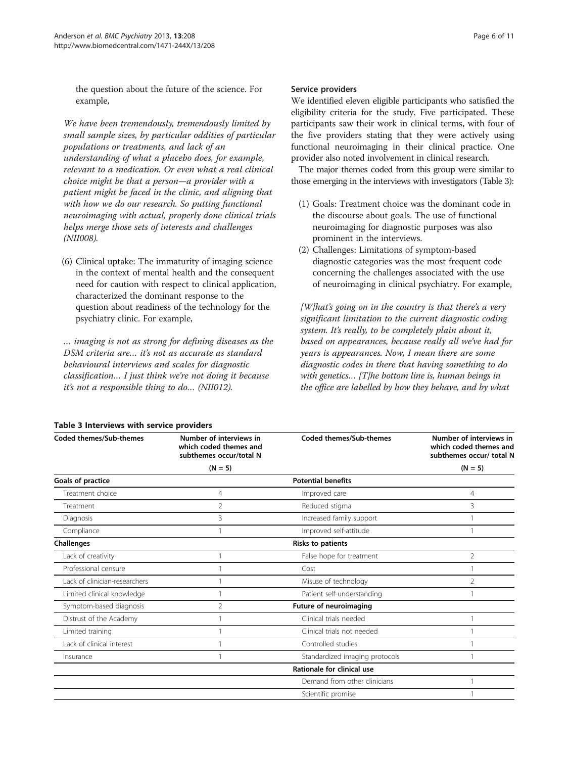<span id="page-5-0"></span>the question about the future of the science. For example,

We have been tremendously, tremendously limited by small sample sizes, by particular oddities of particular populations or treatments, and lack of an understanding of what a placebo does, for example, relevant to a medication. Or even what a real clinical choice might be that a person—a provider with a patient might be faced in the clinic, and aligning that with how we do our research. So putting functional neuroimaging with actual, properly done clinical trials helps merge those sets of interests and challenges (NII008).

(6) Clinical uptake: The immaturity of imaging science in the context of mental health and the consequent need for caution with respect to clinical application, characterized the dominant response to the question about readiness of the technology for the psychiatry clinic. For example,

… imaging is not as strong for defining diseases as the DSM criteria are… it's not as accurate as standard behavioural interviews and scales for diagnostic classification… I just think we're not doing it because it's not a responsible thing to do… (NII012).

## Service providers

We identified eleven eligible participants who satisfied the eligibility criteria for the study. Five participated. These participants saw their work in clinical terms, with four of the five providers stating that they were actively using functional neuroimaging in their clinical practice. One provider also noted involvement in clinical research.

The major themes coded from this group were similar to those emerging in the interviews with investigators (Table 3):

- (1) Goals: Treatment choice was the dominant code in the discourse about goals. The use of functional neuroimaging for diagnostic purposes was also prominent in the interviews.
- (2) Challenges: Limitations of symptom-based diagnostic categories was the most frequent code concerning the challenges associated with the use of neuroimaging in clinical psychiatry. For example,

 $[W]$ hat's going on in the country is that there's a very significant limitation to the current diagnostic coding system. It's really, to be completely plain about it, based on appearances, because really all we've had for years is appearances. Now, I mean there are some diagnostic codes in there that having something to do with genetics... [T]he bottom line is, human beings in the office are labelled by how they behave, and by what

| Coded themes/Sub-themes       | Number of interviews in<br>which coded themes and<br>subthemes occur/total N | Coded themes/Sub-themes        | Number of interviews in<br>which coded themes and<br>subthemes occur/ total N |
|-------------------------------|------------------------------------------------------------------------------|--------------------------------|-------------------------------------------------------------------------------|
|                               | $(N = 5)$                                                                    |                                | $(N = 5)$                                                                     |
| <b>Goals of practice</b>      |                                                                              | <b>Potential benefits</b>      |                                                                               |
| Treatment choice              | $\overline{4}$                                                               | Improved care                  | 4                                                                             |
| Treatment                     | $\mathfrak{D}$                                                               | Reduced stigma                 | 3                                                                             |
| Diagnosis                     | 3                                                                            | Increased family support       |                                                                               |
| Compliance                    |                                                                              | Improved self-attitude         |                                                                               |
| <b>Challenges</b>             |                                                                              | Risks to patients              |                                                                               |
| Lack of creativity            |                                                                              | False hope for treatment       | 2                                                                             |
| Professional censure          |                                                                              | Cost                           |                                                                               |
| Lack of clinician-researchers |                                                                              | Misuse of technology           | $\overline{2}$                                                                |
| Limited clinical knowledge    |                                                                              | Patient self-understanding     |                                                                               |
| Symptom-based diagnosis       | $\mathfrak{D}$                                                               | <b>Future of neuroimaging</b>  |                                                                               |
| Distrust of the Academy       |                                                                              | Clinical trials needed         |                                                                               |
| Limited training              |                                                                              | Clinical trials not needed     |                                                                               |
| Lack of clinical interest     |                                                                              | Controlled studies             |                                                                               |
| Insurance                     |                                                                              | Standardized imaging protocols |                                                                               |
|                               |                                                                              | Rationale for clinical use     |                                                                               |
|                               |                                                                              | Demand from other clinicians   |                                                                               |
|                               |                                                                              | Scientific promise             |                                                                               |

## Table 3 Interviews with service providers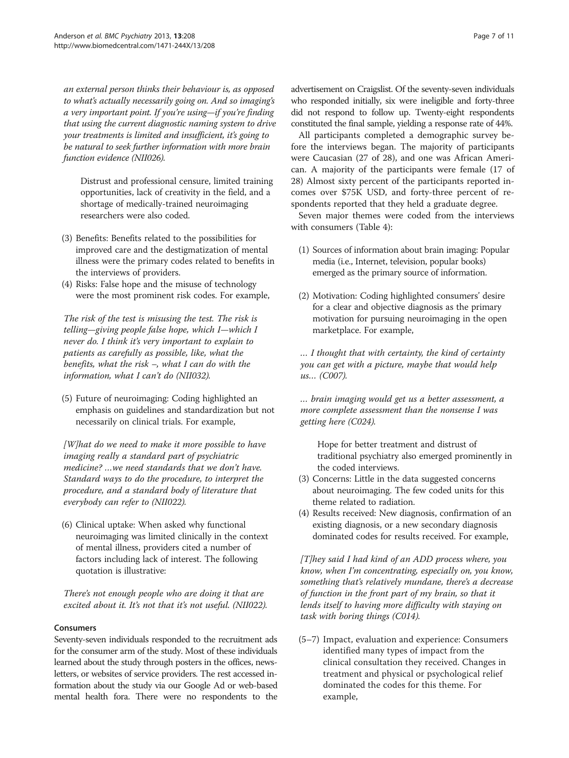an external person thinks their behaviour is, as opposed to what's actually necessarily going on. And so imaging's a very important point. If you're using—if you're finding that using the current diagnostic naming system to drive your treatments is limited and insufficient, it's going to be natural to seek further information with more brain function evidence (NII026).

Distrust and professional censure, limited training opportunities, lack of creativity in the field, and a shortage of medically-trained neuroimaging researchers were also coded.

- (3) Benefits: Benefits related to the possibilities for improved care and the destigmatization of mental illness were the primary codes related to benefits in the interviews of providers.
- (4) Risks: False hope and the misuse of technology were the most prominent risk codes. For example,

The risk of the test is misusing the test. The risk is telling—giving people false hope, which I—which I never do. I think it's very important to explain to patients as carefully as possible, like, what the benefits, what the risk –, what I can do with the information, what I can't do (NII032).

(5) Future of neuroimaging: Coding highlighted an emphasis on guidelines and standardization but not necessarily on clinical trials. For example,

[W]hat do we need to make it more possible to have imaging really a standard part of psychiatric medicine? …we need standards that we don't have. Standard ways to do the procedure, to interpret the procedure, and a standard body of literature that everybody can refer to (NII022).

(6) Clinical uptake: When asked why functional neuroimaging was limited clinically in the context of mental illness, providers cited a number of factors including lack of interest. The following quotation is illustrative:

There's not enough people who are doing it that are excited about it. It's not that it's not useful. (NII022).

### Consumers

Seventy-seven individuals responded to the recruitment ads for the consumer arm of the study. Most of these individuals learned about the study through posters in the offices, newsletters, or websites of service providers. The rest accessed information about the study via our Google Ad or web-based mental health fora. There were no respondents to the

advertisement on Craigslist. Of the seventy-seven individuals who responded initially, six were ineligible and forty-three did not respond to follow up. Twenty-eight respondents constituted the final sample, yielding a response rate of 44%.

All participants completed a demographic survey before the interviews began. The majority of participants were Caucasian (27 of 28), and one was African American. A majority of the participants were female (17 of 28) Almost sixty percent of the participants reported incomes over \$75K USD, and forty-three percent of respondents reported that they held a graduate degree.

Seven major themes were coded from the interviews with consumers (Table [4\)](#page-7-0):

- (1) Sources of information about brain imaging: Popular media (i.e., Internet, television, popular books) emerged as the primary source of information.
- (2) Motivation: Coding highlighted consumers' desire for a clear and objective diagnosis as the primary motivation for pursuing neuroimaging in the open marketplace. For example,

… I thought that with certainty, the kind of certainty you can get with a picture, maybe that would help us… (C007).

… brain imaging would get us a better assessment, a more complete assessment than the nonsense I was getting here (C024).

Hope for better treatment and distrust of traditional psychiatry also emerged prominently in the coded interviews.

- (3) Concerns: Little in the data suggested concerns about neuroimaging. The few coded units for this theme related to radiation.
- (4) Results received: New diagnosis, confirmation of an existing diagnosis, or a new secondary diagnosis dominated codes for results received. For example,

[T]hey said I had kind of an ADD process where, you know, when I'm concentrating, especially on, you know, something that's relatively mundane, there's a decrease of function in the front part of my brain, so that it lends itself to having more difficulty with staying on task with boring things (C014).

(5–7) Impact, evaluation and experience: Consumers identified many types of impact from the clinical consultation they received. Changes in treatment and physical or psychological relief dominated the codes for this theme. For example,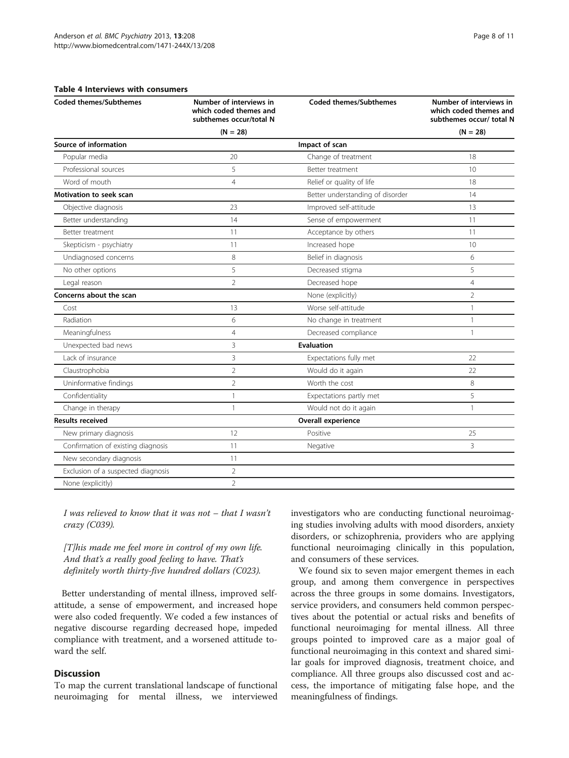#### <span id="page-7-0"></span>Table 4 Interviews with consumers

| <b>Coded themes/Subthemes</b>      | Number of interviews in<br>which coded themes and<br>subthemes occur/total N | <b>Coded themes/Subthemes</b>    | Number of interviews in<br>which coded themes and<br>subthemes occur/ total N |
|------------------------------------|------------------------------------------------------------------------------|----------------------------------|-------------------------------------------------------------------------------|
|                                    | $(N = 28)$                                                                   |                                  | $(N = 28)$                                                                    |
| Source of information              |                                                                              | Impact of scan                   |                                                                               |
| Popular media                      | 20                                                                           | Change of treatment              | 18                                                                            |
| Professional sources               | 5                                                                            | Better treatment                 | 10                                                                            |
| Word of mouth                      | $\overline{4}$                                                               | Relief or quality of life        | 18                                                                            |
| <b>Motivation to seek scan</b>     |                                                                              | Better understanding of disorder | 14                                                                            |
| Objective diagnosis                | 23                                                                           | Improved self-attitude           | 13                                                                            |
| Better understanding               | 14                                                                           | Sense of empowerment             | 11                                                                            |
| Better treatment                   | 11                                                                           | Acceptance by others             | 11                                                                            |
| Skepticism - psychiatry            | 11                                                                           | Increased hope                   | 10                                                                            |
| Undiagnosed concerns               | 8                                                                            | Belief in diagnosis              | 6                                                                             |
| No other options                   | 5                                                                            | Decreased stigma                 | 5                                                                             |
| Legal reason                       | $\overline{2}$                                                               | Decreased hope                   | $\overline{4}$                                                                |
| Concerns about the scan            |                                                                              | None (explicitly)                | $\overline{2}$                                                                |
| Cost                               | 13                                                                           | Worse self-attitude              | $\mathbf{1}$                                                                  |
| Radiation                          | 6                                                                            | No change in treatment           | $\mathbf{1}$                                                                  |
| Meaningfulness                     | $\overline{4}$                                                               | Decreased compliance             | $\mathbf{1}$                                                                  |
| Unexpected bad news                | 3                                                                            | <b>Evaluation</b>                |                                                                               |
| Lack of insurance                  | 3                                                                            | Expectations fully met           | 22                                                                            |
| Claustrophobia                     | $\overline{2}$                                                               | Would do it again                | 22                                                                            |
| Uninformative findings             | $\overline{2}$                                                               | Worth the cost                   | 8                                                                             |
| Confidentiality                    | 1                                                                            | Expectations partly met          | 5                                                                             |
| Change in therapy                  | $\mathbf{1}$                                                                 | Would not do it again            | $\mathbf{1}$                                                                  |
| <b>Results received</b>            |                                                                              | <b>Overall experience</b>        |                                                                               |
| New primary diagnosis              | 12                                                                           | Positive                         | 25                                                                            |
| Confirmation of existing diagnosis | 11                                                                           | Negative                         | 3                                                                             |
| New secondary diagnosis            | 11                                                                           |                                  |                                                                               |
| Exclusion of a suspected diagnosis | $\overline{2}$                                                               |                                  |                                                                               |
| None (explicitly)                  | $\overline{2}$                                                               |                                  |                                                                               |

I was relieved to know that it was not – that I wasn't crazy (C039).

[T]his made me feel more in control of my own life. And that's a really good feeling to have. That's definitely worth thirty-five hundred dollars (C023).

Better understanding of mental illness, improved selfattitude, a sense of empowerment, and increased hope were also coded frequently. We coded a few instances of negative discourse regarding decreased hope, impeded compliance with treatment, and a worsened attitude toward the self.

#### **Discussion**

To map the current translational landscape of functional neuroimaging for mental illness, we interviewed investigators who are conducting functional neuroimaging studies involving adults with mood disorders, anxiety disorders, or schizophrenia, providers who are applying functional neuroimaging clinically in this population, and consumers of these services.

We found six to seven major emergent themes in each group, and among them convergence in perspectives across the three groups in some domains. Investigators, service providers, and consumers held common perspectives about the potential or actual risks and benefits of functional neuroimaging for mental illness. All three groups pointed to improved care as a major goal of functional neuroimaging in this context and shared similar goals for improved diagnosis, treatment choice, and compliance. All three groups also discussed cost and access, the importance of mitigating false hope, and the meaningfulness of findings.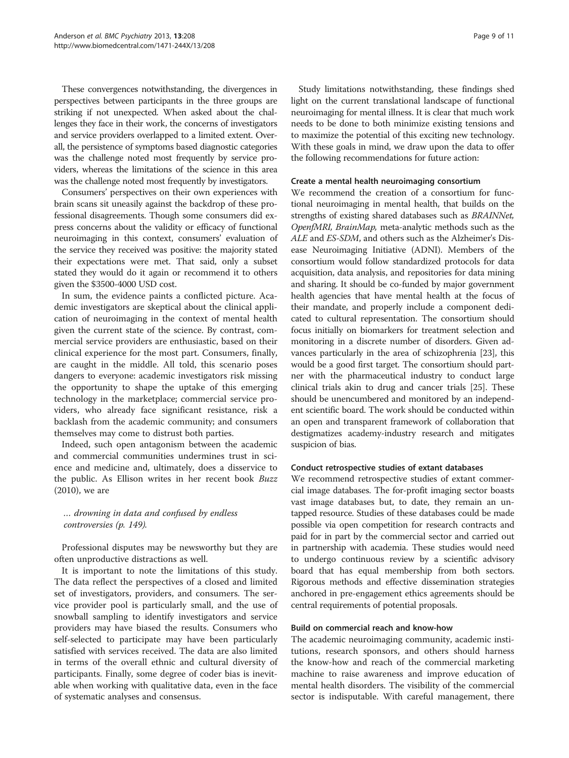These convergences notwithstanding, the divergences in perspectives between participants in the three groups are striking if not unexpected. When asked about the challenges they face in their work, the concerns of investigators and service providers overlapped to a limited extent. Overall, the persistence of symptoms based diagnostic categories was the challenge noted most frequently by service providers, whereas the limitations of the science in this area was the challenge noted most frequently by investigators.

Consumers' perspectives on their own experiences with brain scans sit uneasily against the backdrop of these professional disagreements. Though some consumers did express concerns about the validity or efficacy of functional neuroimaging in this context, consumers' evaluation of the service they received was positive: the majority stated their expectations were met. That said, only a subset stated they would do it again or recommend it to others given the \$3500-4000 USD cost.

In sum, the evidence paints a conflicted picture. Academic investigators are skeptical about the clinical application of neuroimaging in the context of mental health given the current state of the science. By contrast, commercial service providers are enthusiastic, based on their clinical experience for the most part. Consumers, finally, are caught in the middle. All told, this scenario poses dangers to everyone: academic investigators risk missing the opportunity to shape the uptake of this emerging technology in the marketplace; commercial service providers, who already face significant resistance, risk a backlash from the academic community; and consumers themselves may come to distrust both parties.

Indeed, such open antagonism between the academic and commercial communities undermines trust in science and medicine and, ultimately, does a disservice to the public. As Ellison writes in her recent book Buzz (2010), we are

… drowning in data and confused by endless controversies (p. 149).

Professional disputes may be newsworthy but they are often unproductive distractions as well.

It is important to note the limitations of this study. The data reflect the perspectives of a closed and limited set of investigators, providers, and consumers. The service provider pool is particularly small, and the use of snowball sampling to identify investigators and service providers may have biased the results. Consumers who self-selected to participate may have been particularly satisfied with services received. The data are also limited in terms of the overall ethnic and cultural diversity of participants. Finally, some degree of coder bias is inevitable when working with qualitative data, even in the face of systematic analyses and consensus.

Study limitations notwithstanding, these findings shed light on the current translational landscape of functional neuroimaging for mental illness. It is clear that much work needs to be done to both minimize existing tensions and to maximize the potential of this exciting new technology. With these goals in mind, we draw upon the data to offer the following recommendations for future action:

#### Create a mental health neuroimaging consortium

We recommend the creation of a consortium for functional neuroimaging in mental health, that builds on the strengths of existing shared databases such as BRAINNet, OpenfMRI, BrainMap, meta-analytic methods such as the ALE and ES-SDM, and others such as the Alzheimer's Disease Neuroimaging Initiative (ADNI). Members of the consortium would follow standardized protocols for data acquisition, data analysis, and repositories for data mining and sharing. It should be co-funded by major government health agencies that have mental health at the focus of their mandate, and properly include a component dedicated to cultural representation. The consortium should focus initially on biomarkers for treatment selection and monitoring in a discrete number of disorders. Given advances particularly in the area of schizophrenia [[23](#page-9-0)], this would be a good first target. The consortium should partner with the pharmaceutical industry to conduct large clinical trials akin to drug and cancer trials [\[25](#page-9-0)]. These should be unencumbered and monitored by an independent scientific board. The work should be conducted within an open and transparent framework of collaboration that destigmatizes academy-industry research and mitigates suspicion of bias.

#### Conduct retrospective studies of extant databases

We recommend retrospective studies of extant commercial image databases. The for-profit imaging sector boasts vast image databases but, to date, they remain an untapped resource. Studies of these databases could be made possible via open competition for research contracts and paid for in part by the commercial sector and carried out in partnership with academia. These studies would need to undergo continuous review by a scientific advisory board that has equal membership from both sectors. Rigorous methods and effective dissemination strategies anchored in pre-engagement ethics agreements should be central requirements of potential proposals.

#### Build on commercial reach and know-how

The academic neuroimaging community, academic institutions, research sponsors, and others should harness the know-how and reach of the commercial marketing machine to raise awareness and improve education of mental health disorders. The visibility of the commercial sector is indisputable. With careful management, there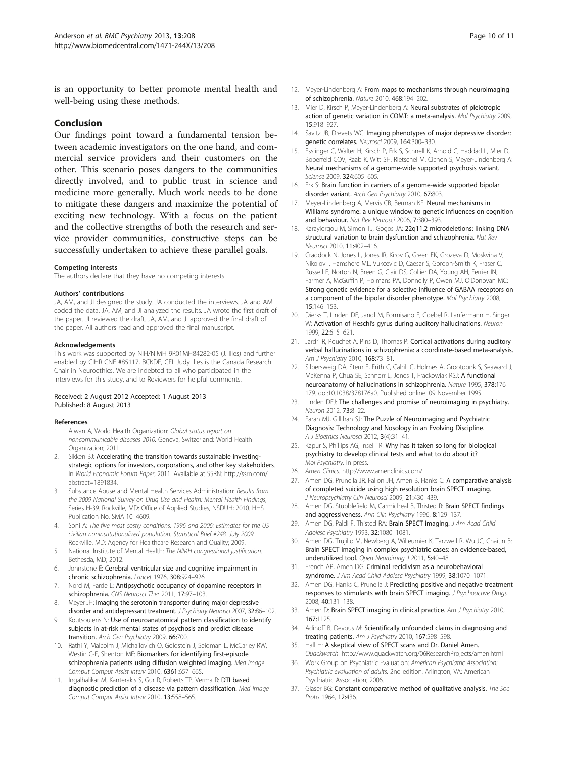<span id="page-9-0"></span>is an opportunity to better promote mental health and well-being using these methods.

#### Conclusion

Our findings point toward a fundamental tension between academic investigators on the one hand, and commercial service providers and their customers on the other. This scenario poses dangers to the communities directly involved, and to public trust in science and medicine more generally. Much work needs to be done to mitigate these dangers and maximize the potential of exciting new technology. With a focus on the patient and the collective strengths of both the research and service provider communities, constructive steps can be successfully undertaken to achieve these parallel goals.

#### Competing interests

The authors declare that they have no competing interests.

#### Authors' contributions

JA, AM, and JI designed the study. JA conducted the interviews. JA and AM coded the data. JA, AM, and JI analyzed the results. JA wrote the first draft of the paper. JI reviewed the draft. JA, AM, and JI approved the final draft of the paper. All authors read and approved the final manuscript.

#### Acknowledgements

This work was supported by NIH/NIMH 9R01MH84282-05 (J. Illes) and further enabled by CIHR CNE #85117, BCKDF, CFI. Judy Illes is the Canada Research Chair in Neuroethics. We are indebted to all who participated in the interviews for this study, and to Reviewers for helpful comments.

#### Received: 2 August 2012 Accepted: 1 August 2013 Published: 8 August 2013

#### References

- 1. Alwan A, World Health Organization: Global status report on noncommunicable diseases 2010. Geneva, Switzerland: World Health Organization; 2011.
- 2. Sikken BJ: Accelerating the transition towards sustainable investingstrategic options for investors, corporations, and other key stakeholders. In World Economic Forum Paper; 2011. Available at SSRN: [http://ssrn.com/](http://ssrn.com/abstract=1891834) [abstract=1891834](http://ssrn.com/abstract=1891834).
- 3. Substance Abuse and Mental Health Services Administration: Results from the 2009 National Survey on Drug Use and Health: Mental Health Findings, Series H-39. Rockville, MD: Office of Applied Studies, NSDUH; 2010. HHS Publication No. SMA 10–4609.
- 4. Soni A: The five most costly conditions, 1996 and 2006: Estimates for the US civilian noninstitutionalized population. Statistical Brief #248. July 2009. Rockville, MD: Agency for Healthcare Research and Quality; 2009.
- 5. National Institute of Mental Health: The NIMH congressional justification. Bethesda, MD; 2012.
- 6. Johnstone E: Cerebral ventricular size and cognitive impairment in chronic schizophrenia. Lancet 1976, 308:924–926.
- 7. Nord M, Farde L: Antipsychotic occupancy of dopamine receptors in schizophrenia. CNS Neurosci Ther 2011, 17:97–103.
- 8. Meyer JH: Imaging the serotonin transporter during major depressive disorder and antidepressant treatment. J Psychiatry Neurosci 2007, 32:86-102.
- 9. Koutsouleris N: Use of neuroanatomical pattern classification to identify subjects in at-risk mental states of psychosis and predict disease transition. Arch Gen Psychiatry 2009, 66:700.
- 10. Rathi Y, Malcolm J, Michailovich O, Goldstein J, Seidman L, McCarley RW, Westin C-F, Shenton ME: Biomarkers for identifying first-episode schizophrenia patients using diffusion weighted imaging. Med Image Comput Comput Assist Interv 2010, 6361:657–665.
- 11. Ingalhalikar M, Kanterakis S, Gur R, Roberts TP, Verma R: DTI based diagnostic prediction of a disease via pattern classification. Med Image Comput Comput Assist Interv 2010, 13:558–565.
- 12. Meyer-Lindenberg A: From maps to mechanisms through neuroimaging of schizophrenia. Nature 2010, 468:194–202.
- 13. Mier D, Kirsch P, Meyer-Lindenberg A: Neural substrates of pleiotropic action of genetic variation in COMT: a meta-analysis. Mol Psychiatry 2009, 15:918–927.
- 14. Savitz JB, Drevets WC: Imaging phenotypes of major depressive disorder: genetic correlates. Neurosci 2009, 164:300–330.
- 15. Esslinger C, Walter H, Kirsch P, Erk S, Schnell K, Arnold C, Haddad L, Mier D, Boberfeld COV, Raab K, Witt SH, Rietschel M, Cichon S, Meyer-Lindenberg A: Neural mechanisms of a genome-wide supported psychosis variant. Science 2009, 324:605-605.
- 16. Erk S: Brain function in carriers of a genome-wide supported bipolar disorder variant. Arch Gen Psychiatry 2010, 67:803.
- 17. Meyer-Lindenberg A, Mervis CB, Berman KF: Neural mechanisms in Williams syndrome: a unique window to genetic influences on cognition and behaviour. Nat Rev Neurosci 2006, 7:380–393.
- 18. Karayiorgou M, Simon TJ, Gogos JA: 22q11.2 microdeletions: linking DNA structural variation to brain dysfunction and schizophrenia. Nat Rev Neurosci 2010, 11:402–416.
- 19. Craddock N, Jones L, Jones IR, Kirov G, Green EK, Grozeva D, Moskvina V, Nikolov I, Hamshere ML, Vukcevic D, Caesar S, Gordon-Smith K, Fraser C, Russell E, Norton N, Breen G, Clair DS, Collier DA, Young AH, Ferrier IN, Farmer A, McGuffin P, Holmans PA, Donnelly P, Owen MJ, O'Donovan MC: Strong genetic evidence for a selective influence of GABAA receptors on a component of the bipolar disorder phenotype. Mol Psychiatry 2008, 15:146–153.
- 20. Dierks T, Linden DE, Jandl M, Formisano E, Goebel R, Lanfermann H, Singer W: Activation of Heschl's gyrus during auditory hallucinations. Neuron 1999, 22:615–621.
- 21. Jardri R, Pouchet A, Pins D, Thomas P: Cortical activations during auditory verbal hallucinations in schizophrenia: a coordinate-based meta-analysis. Am J Psychiatry 2010, 168:73-81.
- 22. Silbersweig DA, Stern E, Frith C, Cahill C, Holmes A, Grootoonk S, Seaward J, McKenna P, Chua SE, Schnorr L, Jones T, Frackowiak RSJ: A functional neuroanatomy of hallucinations in schizophrenia. Nature 1995, 378:176– 179. doi:[10.1038/378176a0.](http://dx.doi.org/10.1038/378176a0) Published online: 09 November 1995.
- 23. Linden DEJ: The challenges and promise of neuroimaging in psychiatry. Neuron 2012, 73:8–22.
- 24. Farah MJ, Gillihan SJ: The Puzzle of Neuroimaging and Psychiatric Diagnosis: Technology and Nosology in an Evolving Discipline. A J Bioethics Neurosci 2012, 3(4):31–41.
- 25. Kapur S, Phillips AG, Insel TR: Why has it taken so long for biological psychiatry to develop clinical tests and what to do about it? Mol Psychiatry. In press.
- 26. Amen Clinics. <http://www.amenclinics.com/>
- 27. Amen DG, Prunella JR, Fallon JH, Amen B, Hanks C: A comparative analysis of completed suicide using high resolution brain SPECT imaging. J Neuropsychiatry Clin Neurosci 2009, 21:430–439.
- 28. Amen DG, Stubblefield M, Carmicheal B, Thisted R: Brain SPECT findings and aggressiveness. Ann Clin Psychiatry 1996, 8:129-137.
- 29. Amen DG, Paldi F, Thisted RA: Brain SPECT imaging. J Am Acad Child Adolesc Psychiatry 1993, 32:1080–1081.
- 30. Amen DG, Trujillo M, Newberg A, Willeumier K, Tarzwell R, Wu JC, Chaitin B: Brain SPECT imaging in complex psychiatric cases: an evidence-based, underutilized tool. Open Neuroimag J 2011, 5:40-48.
- 31. French AP, Amen DG: Criminal recidivism as a neurobehavioral syndrome. J Am Acad Child Adolesc Psychiatry 1999, 38:1070-1071.
- 32. Amen DG, Hanks C, Prunella J: Predicting positive and negative treatment responses to stimulants with brain SPECT imaging. J Psychoactive Drugs 2008, 40:131–138.
- 33. Amen D: Brain SPECT imaging in clinical practice. Am J Psychiatry 2010, 167:1125.
- 34. Adinoff B, Devous M: Scientifically unfounded claims in diagnosing and treating patients. Am J Psychiatry 2010, 167:598-598.
- 35. Hall H: A skeptical view of SPECT scans and Dr. Daniel Amen. Quackwatch.<http://www.quackwatch.org/06ResearchProjects/amen.html>
- 36. Work Group on Psychiatric Evaluation: American Psychiatric Association: Psychiatric evaluation of adults. 2nd edition. Arlington, VA: American Psychiatric Association; 2006.
- 37. Glaser BG: Constant comparative method of qualitative analysis. The Soc Probs 1964, 12:436.